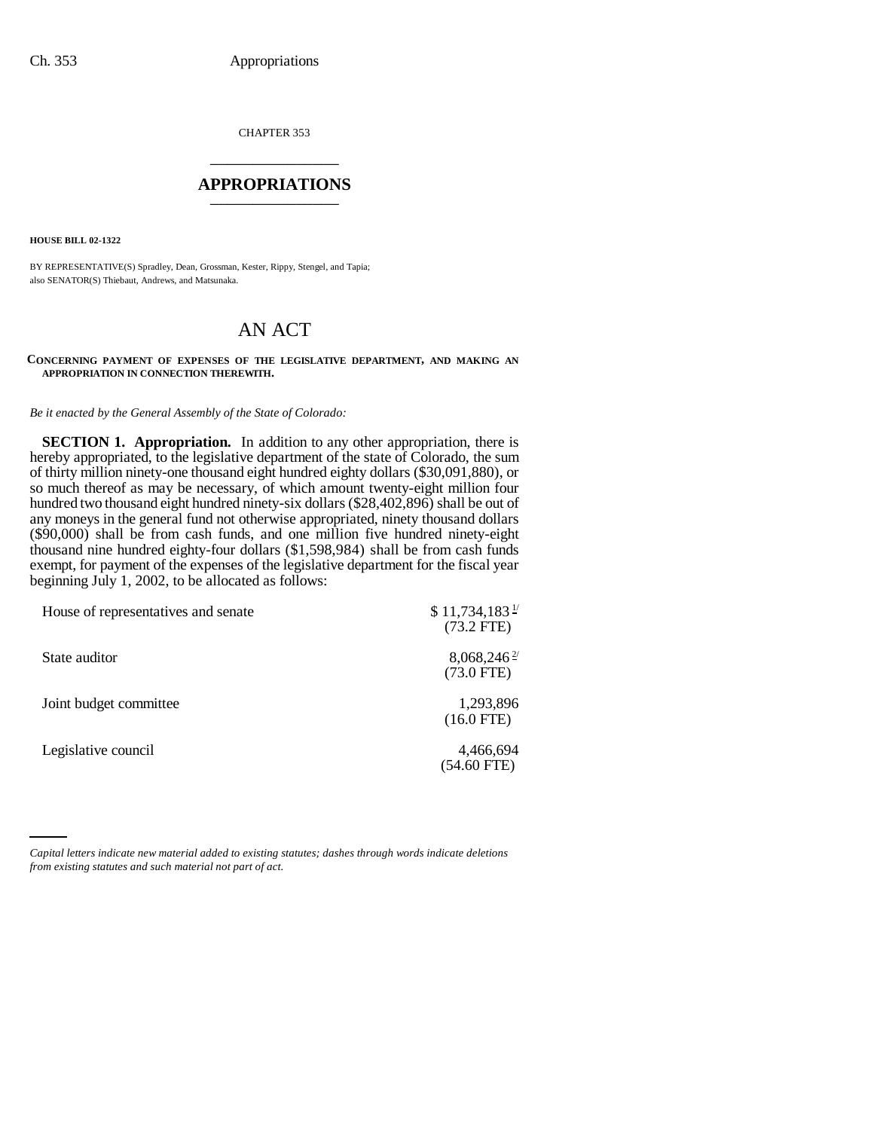CHAPTER 353 \_\_\_\_\_\_\_\_\_\_\_\_\_\_\_

## **APPROPRIATIONS** \_\_\_\_\_\_\_\_\_\_\_\_\_\_\_

**HOUSE BILL 02-1322**

BY REPRESENTATIVE(S) Spradley, Dean, Grossman, Kester, Rippy, Stengel, and Tapia; also SENATOR(S) Thiebaut, Andrews, and Matsunaka.

## AN ACT

## **CONCERNING PAYMENT OF EXPENSES OF THE LEGISLATIVE DEPARTMENT, AND MAKING AN APPROPRIATION IN CONNECTION THEREWITH.**

*Be it enacted by the General Assembly of the State of Colorado:*

**SECTION 1. Appropriation.** In addition to any other appropriation, there is hereby appropriated, to the legislative department of the state of Colorado, the sum of thirty million ninety-one thousand eight hundred eighty dollars (\$30,091,880), or so much thereof as may be necessary, of which amount twenty-eight million four hundred two thousand eight hundred ninety-six dollars (\$28,402,896) shall be out of any moneys in the general fund not otherwise appropriated, ninety thousand dollars (\$90,000) shall be from cash funds, and one million five hundred ninety-eight thousand nine hundred eighty-four dollars (\$1,598,984) shall be from cash funds exempt, for payment of the expenses of the legislative department for the fiscal year beginning July 1, 2002, to be allocated as follows:

| House of representatives and senate | $$11,734,183$ <sup>1/</sup><br>$(73.2$ FTE) |
|-------------------------------------|---------------------------------------------|
| State auditor                       | $8,068,246^{\frac{2}{5}}$<br>$(73.0$ FTE)   |
| Joint budget committee              | 1,293,896<br>$(16.0$ FTE)                   |
| Legislative council                 | 4,466,694<br>(54.60 FTE)                    |

*Capital letters indicate new material added to existing statutes; dashes through words indicate deletions from existing statutes and such material not part of act.*